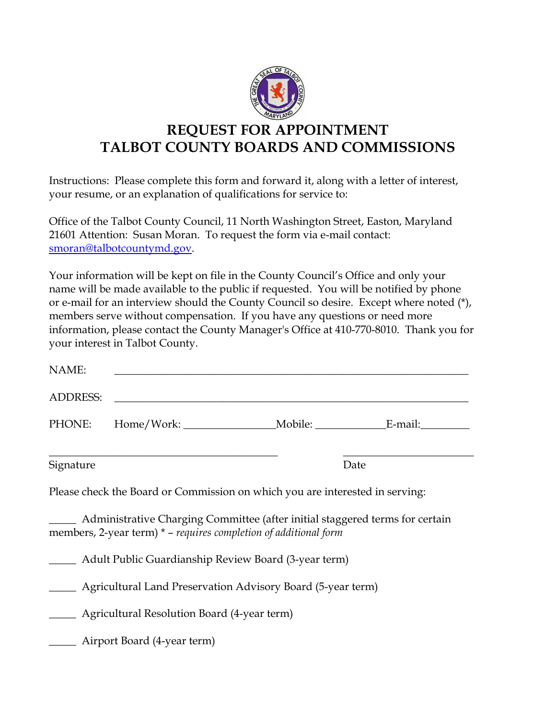

## **REQUEST FOR APPOINTMENT TALBOT COUNTY BOARDS AND COMMISSIONS**

Instructions: Please complete this form and forward it, along with a letter of interest, your resume, or an explanation of qualifications for service to:

Office of the Talbot County Council, 11 North Washington Street, Easton, Maryland 21601 Attention: Susan Moran. To request the form via e-mail contact: smoran@talbotcountymd.gov.

Your information will be kept on file in the County Council's Office and only your name will be made available to the public if requested. You will be notified by phone or e-mail for an interview should the County Council so desire. Except where noted (\*), members serve without compensation. If you have any questions or need more information, please contact the County Manager's Office at 410-770-8010. Thank you for your interest in Talbot County.

| NAME:                                                       |                                                                                                                                                    |  |      |  |
|-------------------------------------------------------------|----------------------------------------------------------------------------------------------------------------------------------------------------|--|------|--|
| <b>ADDRESS:</b>                                             |                                                                                                                                                    |  |      |  |
|                                                             |                                                                                                                                                    |  |      |  |
| Signature                                                   |                                                                                                                                                    |  | Date |  |
|                                                             | Please check the Board or Commission on which you are interested in serving:                                                                       |  |      |  |
|                                                             | Administrative Charging Committee (after initial staggered terms for certain<br>members, 2-year term) $*$ – requires completion of additional form |  |      |  |
| Adult Public Guardianship Review Board (3-year term)        |                                                                                                                                                    |  |      |  |
| Agricultural Land Preservation Advisory Board (5-year term) |                                                                                                                                                    |  |      |  |
| Agricultural Resolution Board (4-year term)                 |                                                                                                                                                    |  |      |  |
| <b>EXECUTE:</b> Airport Board (4-year term)                 |                                                                                                                                                    |  |      |  |
|                                                             |                                                                                                                                                    |  |      |  |